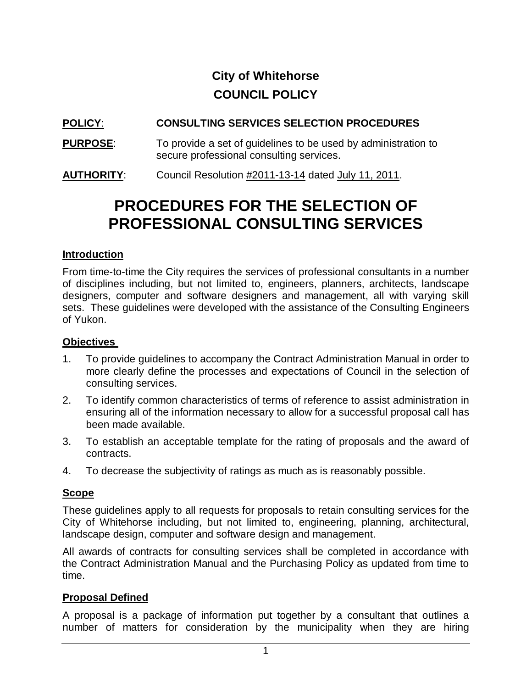# **City of Whitehorse COUNCIL POLICY**

# **POLICY**: **CONSULTING SERVICES SELECTION PROCEDURES**

- **PURPOSE:** To provide a set of guidelines to be used by administration to secure professional consulting services.
- **AUTHORITY**: Council Resolution #2011-13-14 dated July 11, 2011.

# **PROCEDURES FOR THE SELECTION OF PROFESSIONAL CONSULTING SERVICES**

## **Introduction**

From time-to-time the City requires the services of professional consultants in a number of disciplines including, but not limited to, engineers, planners, architects, landscape designers, computer and software designers and management, all with varying skill sets. These guidelines were developed with the assistance of the Consulting Engineers of Yukon.

#### **Objectives**

- 1. To provide guidelines to accompany the Contract Administration Manual in order to more clearly define the processes and expectations of Council in the selection of consulting services.
- 2. To identify common characteristics of terms of reference to assist administration in ensuring all of the information necessary to allow for a successful proposal call has been made available.
- 3. To establish an acceptable template for the rating of proposals and the award of contracts.
- 4. To decrease the subjectivity of ratings as much as is reasonably possible.

## **Scope**

These guidelines apply to all requests for proposals to retain consulting services for the City of Whitehorse including, but not limited to, engineering, planning, architectural, landscape design, computer and software design and management.

All awards of contracts for consulting services shall be completed in accordance with the Contract Administration Manual and the Purchasing Policy as updated from time to time.

## **Proposal Defined**

A proposal is a package of information put together by a consultant that outlines a number of matters for consideration by the municipality when they are hiring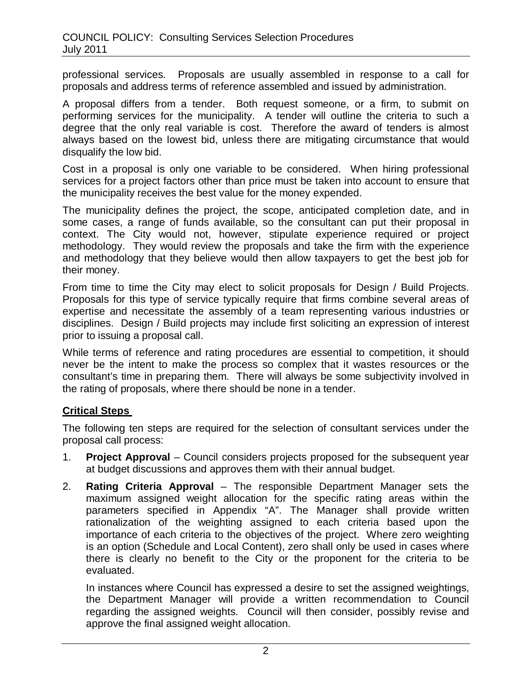professional services. Proposals are usually assembled in response to a call for proposals and address terms of reference assembled and issued by administration.

A proposal differs from a tender. Both request someone, or a firm, to submit on performing services for the municipality. A tender will outline the criteria to such a degree that the only real variable is cost. Therefore the award of tenders is almost always based on the lowest bid, unless there are mitigating circumstance that would disqualify the low bid.

Cost in a proposal is only one variable to be considered. When hiring professional services for a project factors other than price must be taken into account to ensure that the municipality receives the best value for the money expended.

The municipality defines the project, the scope, anticipated completion date, and in some cases, a range of funds available, so the consultant can put their proposal in context. The City would not, however, stipulate experience required or project methodology. They would review the proposals and take the firm with the experience and methodology that they believe would then allow taxpayers to get the best job for their money.

From time to time the City may elect to solicit proposals for Design / Build Projects. Proposals for this type of service typically require that firms combine several areas of expertise and necessitate the assembly of a team representing various industries or disciplines. Design / Build projects may include first soliciting an expression of interest prior to issuing a proposal call.

While terms of reference and rating procedures are essential to competition, it should never be the intent to make the process so complex that it wastes resources or the consultant's time in preparing them. There will always be some subjectivity involved in the rating of proposals, where there should be none in a tender.

## **Critical Steps**

The following ten steps are required for the selection of consultant services under the proposal call process:

- 1. **Project Approval** Council considers projects proposed for the subsequent year at budget discussions and approves them with their annual budget.
- 2. **Rating Criteria Approval** The responsible Department Manager sets the maximum assigned weight allocation for the specific rating areas within the parameters specified in Appendix "A". The Manager shall provide written rationalization of the weighting assigned to each criteria based upon the importance of each criteria to the objectives of the project. Where zero weighting is an option (Schedule and Local Content), zero shall only be used in cases where there is clearly no benefit to the City or the proponent for the criteria to be evaluated.

In instances where Council has expressed a desire to set the assigned weightings, the Department Manager will provide a written recommendation to Council regarding the assigned weights. Council will then consider, possibly revise and approve the final assigned weight allocation.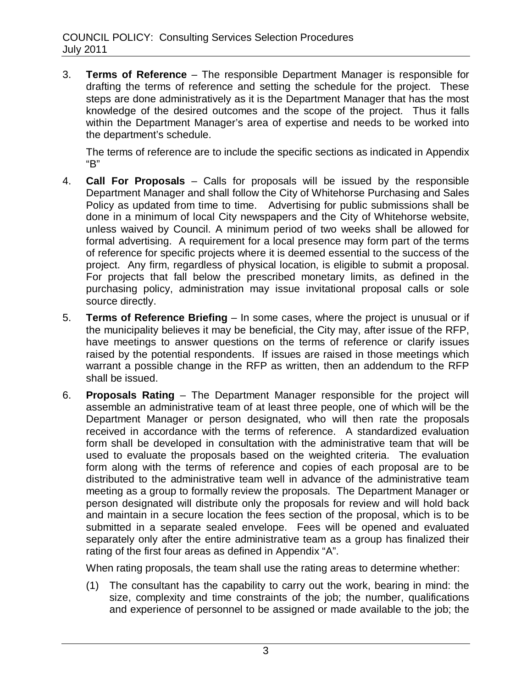3. **Terms of Reference** – The responsible Department Manager is responsible for drafting the terms of reference and setting the schedule for the project. These steps are done administratively as it is the Department Manager that has the most knowledge of the desired outcomes and the scope of the project. Thus it falls within the Department Manager's area of expertise and needs to be worked into the department's schedule.

The terms of reference are to include the specific sections as indicated in Appendix "B"

- 4. **Call For Proposals** Calls for proposals will be issued by the responsible Department Manager and shall follow the City of Whitehorse Purchasing and Sales Policy as updated from time to time. Advertising for public submissions shall be done in a minimum of local City newspapers and the City of Whitehorse website, unless waived by Council. A minimum period of two weeks shall be allowed for formal advertising. A requirement for a local presence may form part of the terms of reference for specific projects where it is deemed essential to the success of the project. Any firm, regardless of physical location, is eligible to submit a proposal. For projects that fall below the prescribed monetary limits, as defined in the purchasing policy, administration may issue invitational proposal calls or sole source directly.
- 5. **Terms of Reference Briefing** In some cases, where the project is unusual or if the municipality believes it may be beneficial, the City may, after issue of the RFP, have meetings to answer questions on the terms of reference or clarify issues raised by the potential respondents. If issues are raised in those meetings which warrant a possible change in the RFP as written, then an addendum to the RFP shall be issued.
- 6. **Proposals Rating** The Department Manager responsible for the project will assemble an administrative team of at least three people, one of which will be the Department Manager or person designated, who will then rate the proposals received in accordance with the terms of reference. A standardized evaluation form shall be developed in consultation with the administrative team that will be used to evaluate the proposals based on the weighted criteria. The evaluation form along with the terms of reference and copies of each proposal are to be distributed to the administrative team well in advance of the administrative team meeting as a group to formally review the proposals. The Department Manager or person designated will distribute only the proposals for review and will hold back and maintain in a secure location the fees section of the proposal, which is to be submitted in a separate sealed envelope. Fees will be opened and evaluated separately only after the entire administrative team as a group has finalized their rating of the first four areas as defined in Appendix "A".

When rating proposals, the team shall use the rating areas to determine whether:

(1) The consultant has the capability to carry out the work, bearing in mind: the size, complexity and time constraints of the job; the number, qualifications and experience of personnel to be assigned or made available to the job; the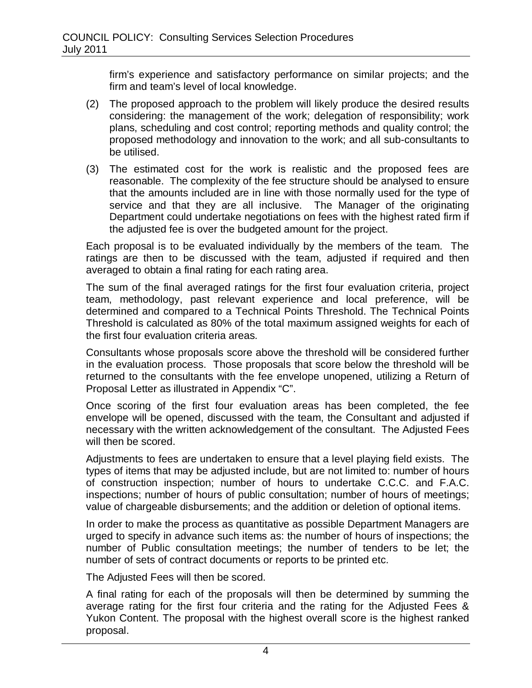firm's experience and satisfactory performance on similar projects; and the firm and team's level of local knowledge.

- (2) The proposed approach to the problem will likely produce the desired results considering: the management of the work; delegation of responsibility; work plans, scheduling and cost control; reporting methods and quality control; the proposed methodology and innovation to the work; and all sub-consultants to be utilised.
- (3) The estimated cost for the work is realistic and the proposed fees are reasonable. The complexity of the fee structure should be analysed to ensure that the amounts included are in line with those normally used for the type of service and that they are all inclusive. The Manager of the originating Department could undertake negotiations on fees with the highest rated firm if the adjusted fee is over the budgeted amount for the project.

Each proposal is to be evaluated individually by the members of the team. The ratings are then to be discussed with the team, adjusted if required and then averaged to obtain a final rating for each rating area.

The sum of the final averaged ratings for the first four evaluation criteria, project team, methodology, past relevant experience and local preference, will be determined and compared to a Technical Points Threshold. The Technical Points Threshold is calculated as 80% of the total maximum assigned weights for each of the first four evaluation criteria areas.

Consultants whose proposals score above the threshold will be considered further in the evaluation process. Those proposals that score below the threshold will be returned to the consultants with the fee envelope unopened, utilizing a Return of Proposal Letter as illustrated in Appendix "C".

Once scoring of the first four evaluation areas has been completed, the fee envelope will be opened, discussed with the team, the Consultant and adjusted if necessary with the written acknowledgement of the consultant. The Adjusted Fees will then be scored.

Adjustments to fees are undertaken to ensure that a level playing field exists. The types of items that may be adjusted include, but are not limited to: number of hours of construction inspection; number of hours to undertake C.C.C. and F.A.C. inspections; number of hours of public consultation; number of hours of meetings; value of chargeable disbursements; and the addition or deletion of optional items.

In order to make the process as quantitative as possible Department Managers are urged to specify in advance such items as: the number of hours of inspections; the number of Public consultation meetings; the number of tenders to be let; the number of sets of contract documents or reports to be printed etc.

The Adjusted Fees will then be scored.

A final rating for each of the proposals will then be determined by summing the average rating for the first four criteria and the rating for the Adjusted Fees & Yukon Content. The proposal with the highest overall score is the highest ranked proposal.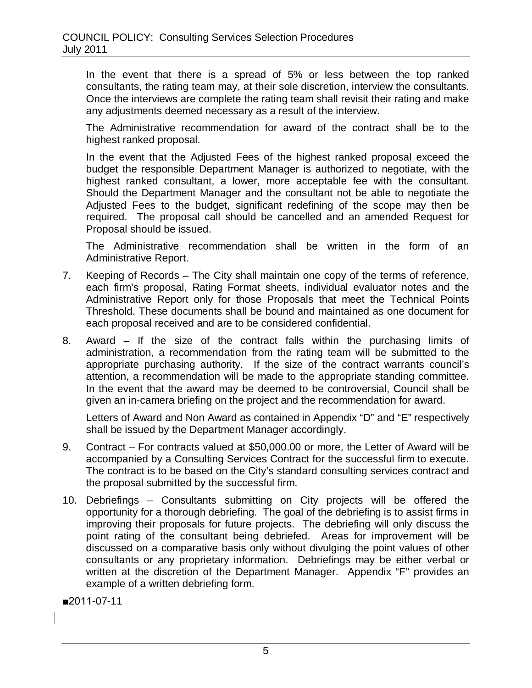In the event that there is a spread of 5% or less between the top ranked consultants, the rating team may, at their sole discretion, interview the consultants. Once the interviews are complete the rating team shall revisit their rating and make any adjustments deemed necessary as a result of the interview.

The Administrative recommendation for award of the contract shall be to the highest ranked proposal.

In the event that the Adjusted Fees of the highest ranked proposal exceed the budget the responsible Department Manager is authorized to negotiate, with the highest ranked consultant, a lower, more acceptable fee with the consultant. Should the Department Manager and the consultant not be able to negotiate the Adjusted Fees to the budget, significant redefining of the scope may then be required. The proposal call should be cancelled and an amended Request for Proposal should be issued.

The Administrative recommendation shall be written in the form of an Administrative Report.

- 7. Keeping of Records The City shall maintain one copy of the terms of reference, each firm's proposal, Rating Format sheets, individual evaluator notes and the Administrative Report only for those Proposals that meet the Technical Points Threshold. These documents shall be bound and maintained as one document for each proposal received and are to be considered confidential.
- 8. Award If the size of the contract falls within the purchasing limits of administration, a recommendation from the rating team will be submitted to the appropriate purchasing authority. If the size of the contract warrants council's attention, a recommendation will be made to the appropriate standing committee. In the event that the award may be deemed to be controversial, Council shall be given an in-camera briefing on the project and the recommendation for award.

Letters of Award and Non Award as contained in Appendix "D" and "E" respectively shall be issued by the Department Manager accordingly.

- 9. Contract For contracts valued at \$50,000.00 or more, the Letter of Award will be accompanied by a Consulting Services Contract for the successful firm to execute. The contract is to be based on the City's standard consulting services contract and the proposal submitted by the successful firm.
- 10. Debriefings Consultants submitting on City projects will be offered the opportunity for a thorough debriefing. The goal of the debriefing is to assist firms in improving their proposals for future projects. The debriefing will only discuss the point rating of the consultant being debriefed. Areas for improvement will be discussed on a comparative basis only without divulging the point values of other consultants or any proprietary information. Debriefings may be either verbal or written at the discretion of the Department Manager. Appendix "F" provides an example of a written debriefing form.

■2011-07-11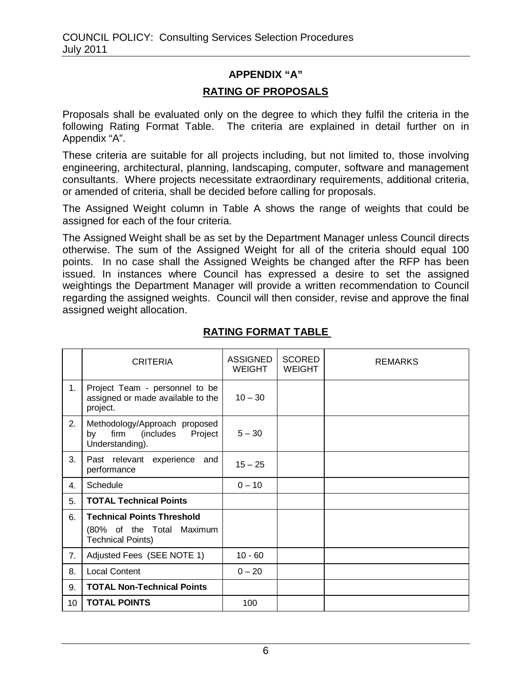# **APPENDIX "A" RATING OF PROPOSALS**

Proposals shall be evaluated only on the degree to which they fulfil the criteria in the following Rating Format Table. The criteria are explained in detail further on in Appendix "A".

These criteria are suitable for all projects including, but not limited to, those involving engineering, architectural, planning, landscaping, computer, software and management consultants. Where projects necessitate extraordinary requirements, additional criteria, or amended of criteria, shall be decided before calling for proposals.

The Assigned Weight column in Table A shows the range of weights that could be assigned for each of the four criteria.

The Assigned Weight shall be as set by the Department Manager unless Council directs otherwise. The sum of the Assigned Weight for all of the criteria should equal 100 points. In no case shall the Assigned Weights be changed after the RFP has been issued. In instances where Council has expressed a desire to set the assigned weightings the Department Manager will provide a written recommendation to Council regarding the assigned weights. Council will then consider, revise and approve the final assigned weight allocation.

|    | <b>CRITERIA</b>                                                                            | <b>ASSIGNED</b><br><b>WEIGHT</b> | <b>SCORED</b><br><b>WEIGHT</b> | <b>REMARKS</b> |
|----|--------------------------------------------------------------------------------------------|----------------------------------|--------------------------------|----------------|
| 1. | Project Team - personnel to be<br>assigned or made available to the<br>project.            | $10 - 30$                        |                                |                |
| 2. | Methodology/Approach proposed<br>firm<br>(includes<br>Project<br>by<br>Understanding).     | $5 - 30$                         |                                |                |
| 3. | Past relevant experience and<br>performance                                                | $15 - 25$                        |                                |                |
| 4. | Schedule                                                                                   | $0 - 10$                         |                                |                |
| 5. | <b>TOTAL Technical Points</b>                                                              |                                  |                                |                |
| 6. | <b>Technical Points Threshold</b><br>(80% of the Total Maximum<br><b>Technical Points)</b> |                                  |                                |                |
| 7. | Adjusted Fees (SEE NOTE 1)                                                                 | $10 - 60$                        |                                |                |
| 8. | <b>Local Content</b>                                                                       | $0 - 20$                         |                                |                |
| 9. | <b>TOTAL Non-Technical Points</b>                                                          |                                  |                                |                |
| 10 | <b>TOTAL POINTS</b>                                                                        | 100                              |                                |                |

# **RATING FORMAT TABLE**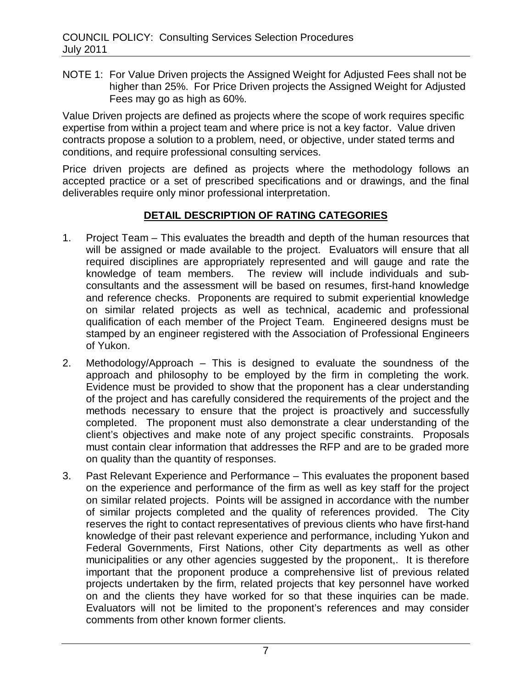NOTE 1: For Value Driven projects the Assigned Weight for Adjusted Fees shall not be higher than 25%. For Price Driven projects the Assigned Weight for Adjusted Fees may go as high as 60%.

Value Driven projects are defined as projects where the scope of work requires specific expertise from within a project team and where price is not a key factor. Value driven contracts propose a solution to a problem, need, or objective, under stated terms and conditions, and require professional consulting services.

Price driven projects are defined as projects where the methodology follows an accepted practice or a set of prescribed specifications and or drawings, and the final deliverables require only minor professional interpretation.

## **DETAIL DESCRIPTION OF RATING CATEGORIES**

- 1. Project Team This evaluates the breadth and depth of the human resources that will be assigned or made available to the project. Evaluators will ensure that all required disciplines are appropriately represented and will gauge and rate the knowledge of team members. The review will include individuals and subconsultants and the assessment will be based on resumes, first-hand knowledge and reference checks. Proponents are required to submit experiential knowledge on similar related projects as well as technical, academic and professional qualification of each member of the Project Team. Engineered designs must be stamped by an engineer registered with the Association of Professional Engineers of Yukon.
- 2. Methodology/Approach This is designed to evaluate the soundness of the approach and philosophy to be employed by the firm in completing the work. Evidence must be provided to show that the proponent has a clear understanding of the project and has carefully considered the requirements of the project and the methods necessary to ensure that the project is proactively and successfully completed. The proponent must also demonstrate a clear understanding of the client's objectives and make note of any project specific constraints. Proposals must contain clear information that addresses the RFP and are to be graded more on quality than the quantity of responses.
- 3. Past Relevant Experience and Performance This evaluates the proponent based on the experience and performance of the firm as well as key staff for the project on similar related projects. Points will be assigned in accordance with the number of similar projects completed and the quality of references provided. The City reserves the right to contact representatives of previous clients who have first-hand knowledge of their past relevant experience and performance, including Yukon and Federal Governments, First Nations, other City departments as well as other municipalities or any other agencies suggested by the proponent,. It is therefore important that the proponent produce a comprehensive list of previous related projects undertaken by the firm, related projects that key personnel have worked on and the clients they have worked for so that these inquiries can be made. Evaluators will not be limited to the proponent's references and may consider comments from other known former clients.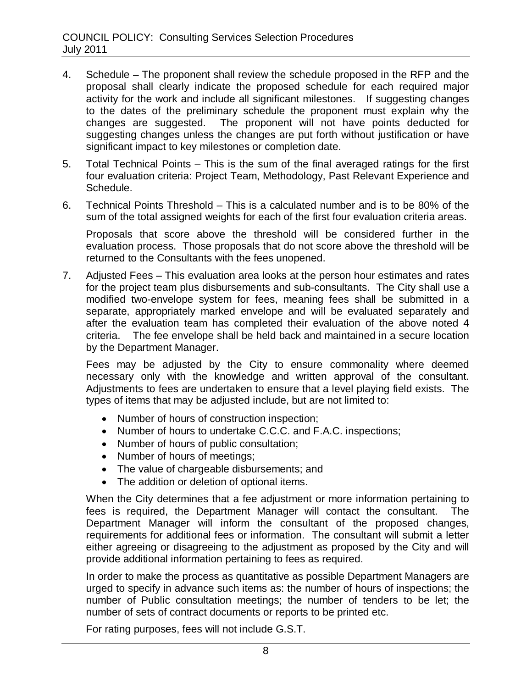- 4. Schedule The proponent shall review the schedule proposed in the RFP and the proposal shall clearly indicate the proposed schedule for each required major activity for the work and include all significant milestones. If suggesting changes to the dates of the preliminary schedule the proponent must explain why the changes are suggested. The proponent will not have points deducted for suggesting changes unless the changes are put forth without justification or have significant impact to key milestones or completion date.
- 5. Total Technical Points This is the sum of the final averaged ratings for the first four evaluation criteria: Project Team, Methodology, Past Relevant Experience and Schedule.
- 6. Technical Points Threshold This is a calculated number and is to be 80% of the sum of the total assigned weights for each of the first four evaluation criteria areas.

Proposals that score above the threshold will be considered further in the evaluation process. Those proposals that do not score above the threshold will be returned to the Consultants with the fees unopened.

7. Adjusted Fees – This evaluation area looks at the person hour estimates and rates for the project team plus disbursements and sub-consultants. The City shall use a modified two-envelope system for fees, meaning fees shall be submitted in a separate, appropriately marked envelope and will be evaluated separately and after the evaluation team has completed their evaluation of the above noted 4 criteria. The fee envelope shall be held back and maintained in a secure location by the Department Manager.

Fees may be adjusted by the City to ensure commonality where deemed necessary only with the knowledge and written approval of the consultant. Adjustments to fees are undertaken to ensure that a level playing field exists. The types of items that may be adjusted include, but are not limited to:

- Number of hours of construction inspection;
- Number of hours to undertake C.C.C. and F.A.C. inspections:
- Number of hours of public consultation;
- Number of hours of meetings;
- The value of chargeable disbursements; and
- The addition or deletion of optional items.

When the City determines that a fee adjustment or more information pertaining to fees is required, the Department Manager will contact the consultant. The Department Manager will inform the consultant of the proposed changes, requirements for additional fees or information. The consultant will submit a letter either agreeing or disagreeing to the adjustment as proposed by the City and will provide additional information pertaining to fees as required.

In order to make the process as quantitative as possible Department Managers are urged to specify in advance such items as: the number of hours of inspections; the number of Public consultation meetings; the number of tenders to be let; the number of sets of contract documents or reports to be printed etc.

For rating purposes, fees will not include G.S.T.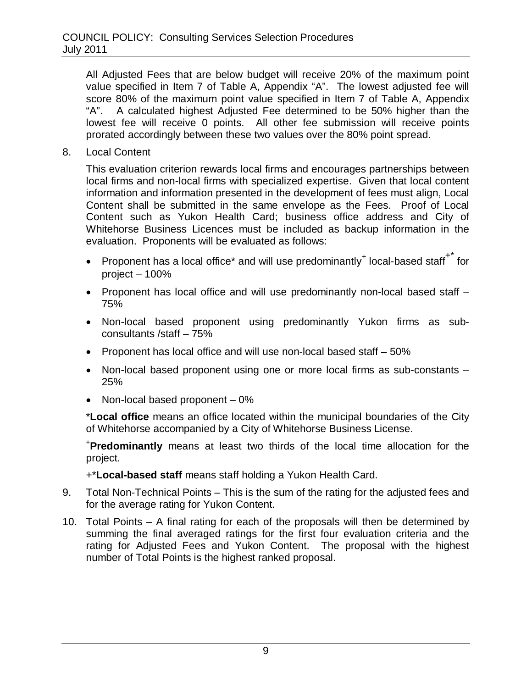All Adjusted Fees that are below budget will receive 20% of the maximum point value specified in Item 7 of Table A, Appendix "A". The lowest adjusted fee will score 80% of the maximum point value specified in Item 7 of Table A, Appendix "A". A calculated highest Adjusted Fee determined to be 50% higher than the lowest fee will receive 0 points. All other fee submission will receive points prorated accordingly between these two values over the 80% point spread.

8. Local Content

This evaluation criterion rewards local firms and encourages partnerships between local firms and non-local firms with specialized expertise. Given that local content information and information presented in the development of fees must align, Local Content shall be submitted in the same envelope as the Fees. Proof of Local Content such as Yukon Health Card; business office address and City of Whitehorse Business Licences must be included as backup information in the evaluation. Proponents will be evaluated as follows:

- Proponent has a local office\* and will use predominantly<sup>+</sup> local-based staff<sup>+\*</sup> for project – 100%
- Proponent has local office and will use predominantly non-local based staff 75%
- Non-local based proponent using predominantly Yukon firms as subconsultants /staff – 75%
- Proponent has local office and will use non-local based staff 50%
- Non-local based proponent using one or more local firms as sub-constants 25%
- Non-local based proponent  $-0\%$

\***Local office** means an office located within the municipal boundaries of the City of Whitehorse accompanied by a City of Whitehorse Business License.

+ **Predominantly** means at least two thirds of the local time allocation for the project.

+\***Local-based staff** means staff holding a Yukon Health Card.

- 9. Total Non-Technical Points This is the sum of the rating for the adjusted fees and for the average rating for Yukon Content.
- 10. Total Points A final rating for each of the proposals will then be determined by summing the final averaged ratings for the first four evaluation criteria and the rating for Adjusted Fees and Yukon Content. The proposal with the highest number of Total Points is the highest ranked proposal.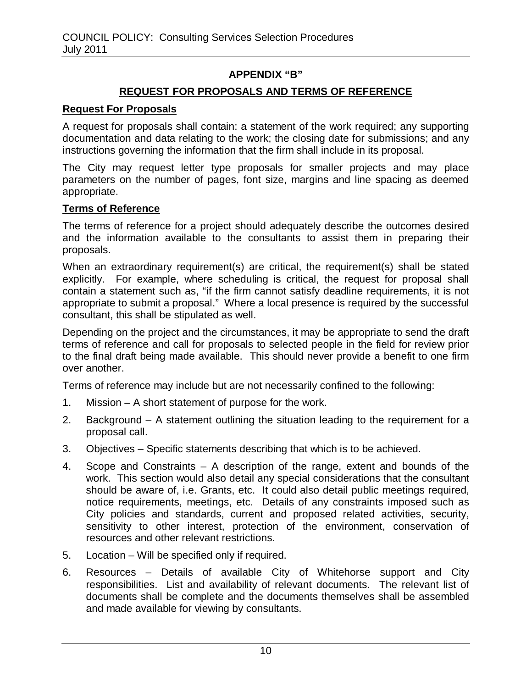## **APPENDIX "B"**

## **REQUEST FOR PROPOSALS AND TERMS OF REFERENCE**

#### **Request For Proposals**

A request for proposals shall contain: a statement of the work required; any supporting documentation and data relating to the work; the closing date for submissions; and any instructions governing the information that the firm shall include in its proposal.

The City may request letter type proposals for smaller projects and may place parameters on the number of pages, font size, margins and line spacing as deemed appropriate.

#### **Terms of Reference**

The terms of reference for a project should adequately describe the outcomes desired and the information available to the consultants to assist them in preparing their proposals.

When an extraordinary requirement(s) are critical, the requirement(s) shall be stated explicitly. For example, where scheduling is critical, the request for proposal shall contain a statement such as, "if the firm cannot satisfy deadline requirements, it is not appropriate to submit a proposal." Where a local presence is required by the successful consultant, this shall be stipulated as well.

Depending on the project and the circumstances, it may be appropriate to send the draft terms of reference and call for proposals to selected people in the field for review prior to the final draft being made available. This should never provide a benefit to one firm over another.

Terms of reference may include but are not necessarily confined to the following:

- 1. Mission A short statement of purpose for the work.
- 2. Background A statement outlining the situation leading to the requirement for a proposal call.
- 3. Objectives Specific statements describing that which is to be achieved.
- 4. Scope and Constraints A description of the range, extent and bounds of the work. This section would also detail any special considerations that the consultant should be aware of, i.e. Grants, etc. It could also detail public meetings required, notice requirements, meetings, etc. Details of any constraints imposed such as City policies and standards, current and proposed related activities, security, sensitivity to other interest, protection of the environment, conservation of resources and other relevant restrictions.
- 5. Location Will be specified only if required.
- 6. Resources Details of available City of Whitehorse support and City responsibilities. List and availability of relevant documents. The relevant list of documents shall be complete and the documents themselves shall be assembled and made available for viewing by consultants.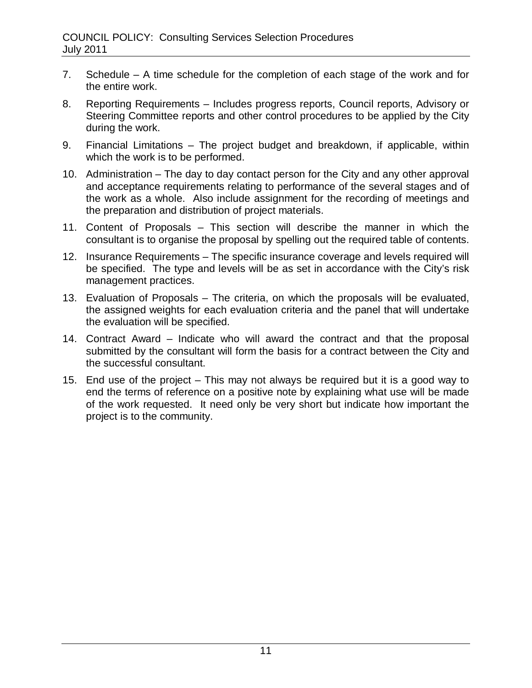- 7. Schedule A time schedule for the completion of each stage of the work and for the entire work.
- 8. Reporting Requirements Includes progress reports, Council reports, Advisory or Steering Committee reports and other control procedures to be applied by the City during the work.
- 9. Financial Limitations The project budget and breakdown, if applicable, within which the work is to be performed.
- 10. Administration The day to day contact person for the City and any other approval and acceptance requirements relating to performance of the several stages and of the work as a whole. Also include assignment for the recording of meetings and the preparation and distribution of project materials.
- 11. Content of Proposals This section will describe the manner in which the consultant is to organise the proposal by spelling out the required table of contents.
- 12. Insurance Requirements The specific insurance coverage and levels required will be specified. The type and levels will be as set in accordance with the City's risk management practices.
- 13. Evaluation of Proposals The criteria, on which the proposals will be evaluated, the assigned weights for each evaluation criteria and the panel that will undertake the evaluation will be specified.
- 14. Contract Award Indicate who will award the contract and that the proposal submitted by the consultant will form the basis for a contract between the City and the successful consultant.
- 15. End use of the project This may not always be required but it is a good way to end the terms of reference on a positive note by explaining what use will be made of the work requested. It need only be very short but indicate how important the project is to the community.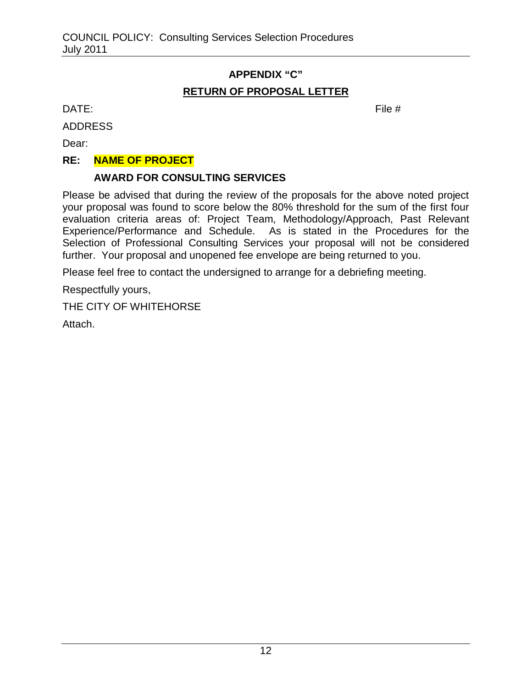# **APPENDIX "C" RETURN OF PROPOSAL LETTER**

 $\mathsf{DATE:}$  File  $\#$ 

ADDRESS

Dear:

## **RE: NAME OF PROJECT**

## **AWARD FOR CONSULTING SERVICES**

Please be advised that during the review of the proposals for the above noted project your proposal was found to score below the 80% threshold for the sum of the first four evaluation criteria areas of: Project Team, Methodology/Approach, Past Relevant Experience/Performance and Schedule. As is stated in the Procedures for the Selection of Professional Consulting Services your proposal will not be considered further. Your proposal and unopened fee envelope are being returned to you.

Please feel free to contact the undersigned to arrange for a debriefing meeting.

Respectfully yours,

THE CITY OF WHITEHORSE

Attach.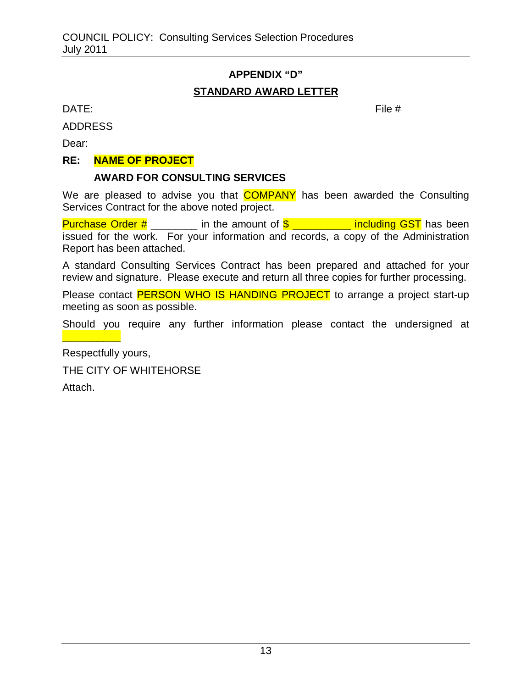# **APPENDIX "D" STANDARD AWARD LETTER**

 $\mathsf{DATE:}$  File  $\#$ 

ADDRESS

Dear:

#### **RE: NAME OF PROJECT**

## **AWARD FOR CONSULTING SERVICES**

We are pleased to advise you that **COMPANY** has been awarded the Consulting Services Contract for the above noted project.

Purchase Order  $\#\underline{\hspace{2cm}}$  in the amount of  $\$\underline{\hspace{2cm}}$  \_\_\_\_\_\_\_ including GST has been issued for the work. For your information and records, a copy of the Administration Report has been attached.

A standard Consulting Services Contract has been prepared and attached for your review and signature. Please execute and return all three copies for further processing.

Please contact **PERSON WHO IS HANDING PROJECT** to arrange a project start-up meeting as soon as possible.

Should you require any further information please contact the undersigned at

Respectfully yours,

THE CITY OF WHITEHORSE

Attach.

\_\_\_\_\_\_\_\_\_\_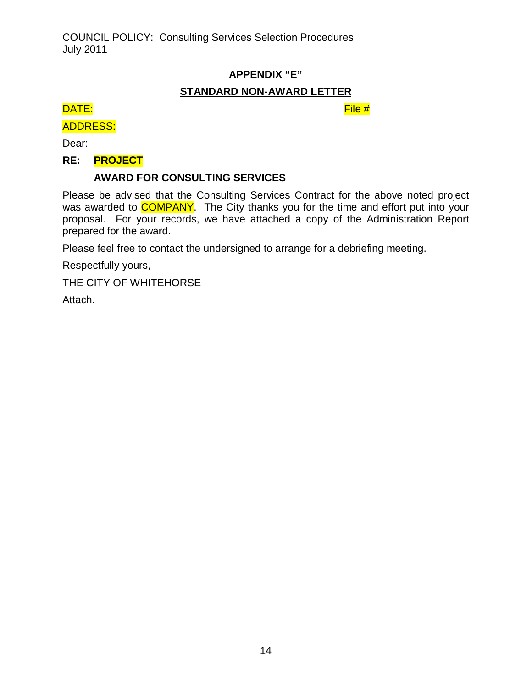# **APPENDIX "E"**

# **STANDARD NON-AWARD LETTER**

## DATE: File #

## ADDRESS:

Dear:

## **RE: PROJECT**

# **AWARD FOR CONSULTING SERVICES**

Please be advised that the Consulting Services Contract for the above noted project was awarded to **COMPANY**. The City thanks you for the time and effort put into your proposal. For your records, we have attached a copy of the Administration Report prepared for the award.

Please feel free to contact the undersigned to arrange for a debriefing meeting.

Respectfully yours,

THE CITY OF WHITEHORSE

Attach.